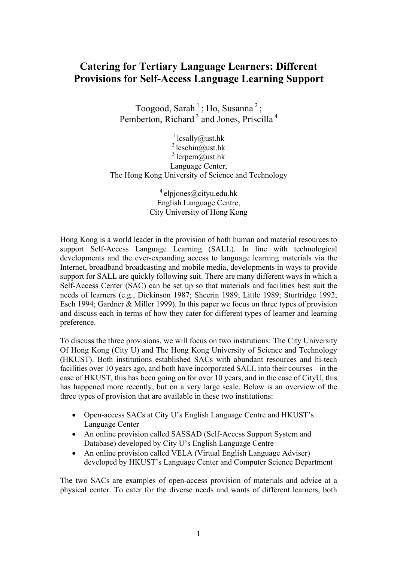## **Catering for Tertiary Language Learners: Different Provisions for Self-Access Language Learning Support**

Toogood, Sarah<sup>1</sup>; Ho, Susanna<sup>2</sup>; Pemberton, Richard<sup>3</sup> and Jones, Priscilla<sup>4</sup>

<sup>1</sup> lcsally@ust.hk  $2$  lcschiu@ust.hk  $3$  lcrpem $\overline{a}$  ust.hk Language Center, The Hong Kong University of Science and Technology

> $4$  elpjones@cityu.edu.hk English Language Centre, City University of Hong Kong

Hong Kong is a world leader in the provision of both human and material resources to support Self-Access Language Learning (SALL). In line with technological developments and the ever-expanding access to language learning materials via the Internet, broadband broadcasting and mobile media, developments in ways to provide support for SALL are quickly following suit. There are many different ways in which a Self-Access Center (SAC) can be set up so that materials and facilities best suit the needs of learners (e.g., Dickinson 1987; Sheerin 1989; Little 1989; Sturtridge 1992; Esch 1994; Gardner & Miller 1999). In this paper we focus on three types of provision and discuss each in terms of how they cater for different types of learner and learning preference.

To discuss the three provisions, we will focus on two institutions: The City University Of Hong Kong (City U) and The Hong Kong University of Science and Technology (HKUST). Both institutions established SACs with abundant resources and hi-tech facilities over 10 years ago, and both have incorporated SALL into their courses – in the case of HKUST, this has been going on for over 10 years, and in the case of CityU, this has happened more recently, but on a very large scale. Below is an overview of the three types of provision that are available in these two institutions:

- Open-access SACs at City U's English Language Centre and HKUST's Language Center
- An online provision called SASSAD (Self-Access Support System and Database) developed by City U's English Language Centre
- An online provision called VELA (Virtual English Language Adviser) developed by HKUST's Language Center and Computer Science Department

The two SACs are examples of open-access provision of materials and advice at a physical center. To cater for the diverse needs and wants of different learners, both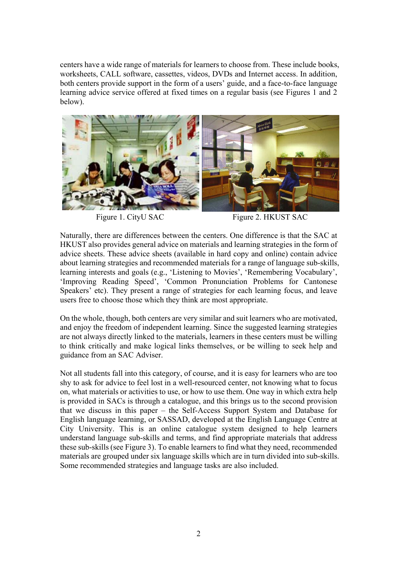centers have a wide range of materials for learners to choose from. These include books, worksheets, CALL software, cassettes, videos, DVDs and Internet access. In addition, both centers provide support in the form of a users' guide, and a face-to-face language learning advice service offered at fixed times on a regular basis (see Figures 1 and 2 below).



Figure 1. CityU SAC Figure 2. HKUST SAC

Naturally, there are differences between the centers. One difference is that the SAC at HKUST also provides general advice on materials and learning strategies in the form of advice sheets. These advice sheets (available in hard copy and online) contain advice about learning strategies and recommended materials for a range of language sub-skills, learning interests and goals (e.g., 'Listening to Movies', 'Remembering Vocabulary', 'Improving Reading Speed', 'Common Pronunciation Problems for Cantonese Speakers' etc). They present a range of strategies for each learning focus, and leave users free to choose those which they think are most appropriate.

On the whole, though, both centers are very similar and suit learners who are motivated, and enjoy the freedom of independent learning. Since the suggested learning strategies are not always directly linked to the materials, learners in these centers must be willing to think critically and make logical links themselves, or be willing to seek help and guidance from an SAC Adviser.

Not all students fall into this category, of course, and it is easy for learners who are too shy to ask for advice to feel lost in a well-resourced center, not knowing what to focus on, what materials or activities to use, or how to use them. One way in which extra help is provided in SACs is through a catalogue, and this brings us to the second provision that we discuss in this paper – the Self-Access Support System and Database for English language learning, or SASSAD, developed at the English Language Centre at City University. This is an online catalogue system designed to help learners understand language sub-skills and terms, and find appropriate materials that address these sub-skills (see Figure 3). To enable learners to find what they need, recommended materials are grouped under six language skills which are in turn divided into sub-skills. Some recommended strategies and language tasks are also included.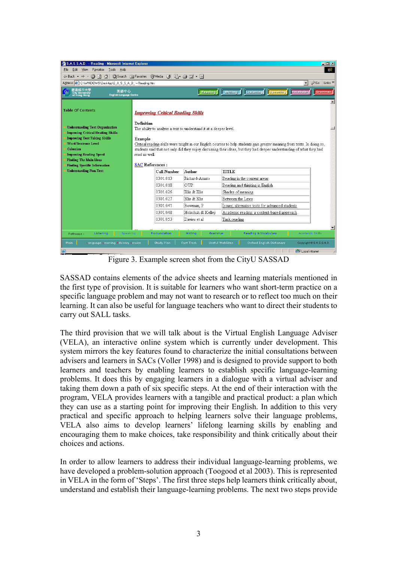| $ \Box$ $\times$<br>S.A.S.S.A.D. -- Reading - Microsoft Internet Explorer                                                                                        |                                                                                                                                                                                                                                                                                               |                   |                                                 |   |
|------------------------------------------------------------------------------------------------------------------------------------------------------------------|-----------------------------------------------------------------------------------------------------------------------------------------------------------------------------------------------------------------------------------------------------------------------------------------------|-------------------|-------------------------------------------------|---|
| Edit View<br>Favorites<br>Tools<br>Help<br>File<br><b>SR</b>                                                                                                     |                                                                                                                                                                                                                                                                                               |                   |                                                 |   |
| @Search 图Favorites @Media @ 图 @ 图 · 目<br><u>ා</u>   ව<br>$\leftarrow$ Back $\rightarrow$<br>A                                                                    |                                                                                                                                                                                                                                                                                               |                   |                                                 |   |
| Address ( C:\WINDOWS\Desktop\S_A_S_S_A_D_ -- Reading.htm<br>$\partial$ Go<br>Links <sup>&gt;&gt;</sup><br>$\blacksquare$                                         |                                                                                                                                                                                                                                                                                               |                   |                                                 |   |
| 城市大學<br>英語中心<br>Reading   Writing   Listening   Speaking<br>Vocabulary<br>Grammar<br><b>City University</b><br>of Hong Kong<br><b>English Language Centre</b>    |                                                                                                                                                                                                                                                                                               |                   |                                                 |   |
| <b>Table Of Contents</b>                                                                                                                                         | <b>Improving Critical Reading Skills</b>                                                                                                                                                                                                                                                      |                   |                                                 |   |
| <b>Understanding Text Organization</b><br><b>Improving Critical Reading Skills</b><br><b>Improving Test Taking Skills</b><br><b>Word/Sentence Level</b>          | Definition<br>The ability to analyse a text to understand it at a deeper level.<br>Example                                                                                                                                                                                                    |                   |                                                 |   |
| <b>Cohesion</b><br><b>Improving Reading Speed</b><br><b>Finding The Main Ideas</b><br><b>Finding Specific Information</b>                                        | Critical reading skills were taught in our English courses to help students gain greater meaning from texts. In doing so,<br>students said that not only did they enjoy discussing their ideas, but they had deeper understanding of what they had<br>read as well.<br><b>SAC References:</b> |                   |                                                 |   |
| <b>Understanding Non-Text</b>                                                                                                                                    | <b>Call Number</b>                                                                                                                                                                                                                                                                            | Author            | <b>TITLE</b>                                    |   |
|                                                                                                                                                                  | 0301.013                                                                                                                                                                                                                                                                                      | Richard-Amato     | Reading in the content areas                    |   |
|                                                                                                                                                                  | 0301.018                                                                                                                                                                                                                                                                                      | <b>OUP</b>        | Reading and thinking in English                 |   |
|                                                                                                                                                                  | 0301.026                                                                                                                                                                                                                                                                                      | Ellis & Ellis     | Shades of meaning                               |   |
|                                                                                                                                                                  | 0301.027                                                                                                                                                                                                                                                                                      | Ellis & Ellis     | Between the Lines                               |   |
|                                                                                                                                                                  | 0301.041                                                                                                                                                                                                                                                                                      | Bowman, P         | Issues; alternative texts for advanced students |   |
|                                                                                                                                                                  | 0301.048                                                                                                                                                                                                                                                                                      | Holschuh & Kellev | Academic reading: a content-based approach      |   |
|                                                                                                                                                                  | 0301.053                                                                                                                                                                                                                                                                                      | Davies et al      | Task reading                                    |   |
|                                                                                                                                                                  |                                                                                                                                                                                                                                                                                               |                   |                                                 | ▼ |
| Reading & Vocabulary<br>Academic Skills<br>Pronunciation<br>Listening<br>Speaking<br>Writing<br>Grammar<br>Pathways :                                            |                                                                                                                                                                                                                                                                                               |                   |                                                 |   |
| <b>Useful WebSites</b><br>Main<br>Study Plan<br><b>Fast Track</b><br>Oxford English Dictionary<br>Language Learning Advisory Service<br>Copyright @ S.A.S.S.A.D. |                                                                                                                                                                                                                                                                                               |                   |                                                 |   |
|                                                                                                                                                                  |                                                                                                                                                                                                                                                                                               |                   |                                                 |   |
| <b>CHE</b> Local intranet<br>图<br>m                                                                                                                              |                                                                                                                                                                                                                                                                                               |                   |                                                 |   |

Figure 3. Example screen shot from the CityU SASSAD

SASSAD contains elements of the advice sheets and learning materials mentioned in the first type of provision. It is suitable for learners who want short-term practice on a specific language problem and may not want to research or to reflect too much on their learning. It can also be useful for language teachers who want to direct their students to carry out SALL tasks.

The third provision that we will talk about is the Virtual English Language Adviser (VELA), an interactive online system which is currently under development. This system mirrors the key features found to characterize the initial consultations between advisers and learners in SACs (Voller 1998) and is designed to provide support to both learners and teachers by enabling learners to establish specific language-learning problems. It does this by engaging learners in a dialogue with a virtual adviser and taking them down a path of six specific steps. At the end of their interaction with the program, VELA provides learners with a tangible and practical product: a plan which they can use as a starting point for improving their English. In addition to this very practical and specific approach to helping learners solve their language problems, VELA also aims to develop learners' lifelong learning skills by enabling and encouraging them to make choices, take responsibility and think critically about their choices and actions.

In order to allow learners to address their individual language-learning problems, we have developed a problem-solution approach (Toogood et al 2003). This is represented in VELA in the form of 'Steps'. The first three steps help learners think critically about, understand and establish their language-learning problems. The next two steps provide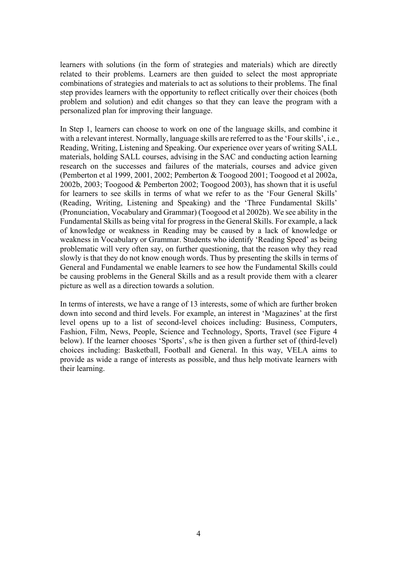learners with solutions (in the form of strategies and materials) which are directly related to their problems. Learners are then guided to select the most appropriate combinations of strategies and materials to act as solutions to their problems. The final step provides learners with the opportunity to reflect critically over their choices (both problem and solution) and edit changes so that they can leave the program with a personalized plan for improving their language.

In Step 1, learners can choose to work on one of the language skills, and combine it with a relevant interest. Normally, language skills are referred to as the 'Four skills', i.e., Reading, Writing, Listening and Speaking. Our experience over years of writing SALL materials, holding SALL courses, advising in the SAC and conducting action learning research on the successes and failures of the materials, courses and advice given (Pemberton et al 1999, 2001, 2002; Pemberton & Toogood 2001; Toogood et al 2002a, 2002b, 2003; Toogood & Pemberton 2002; Toogood 2003), has shown that it is useful for learners to see skills in terms of what we refer to as the 'Four General Skills' (Reading, Writing, Listening and Speaking) and the 'Three Fundamental Skills' (Pronunciation, Vocabulary and Grammar) (Toogood et al 2002b). We see ability in the Fundamental Skills as being vital for progress in the General Skills. For example, a lack of knowledge or weakness in Reading may be caused by a lack of knowledge or weakness in Vocabulary or Grammar. Students who identify 'Reading Speed' as being problematic will very often say, on further questioning, that the reason why they read slowly is that they do not know enough words. Thus by presenting the skills in terms of General and Fundamental we enable learners to see how the Fundamental Skills could be causing problems in the General Skills and as a result provide them with a clearer picture as well as a direction towards a solution.

In terms of interests, we have a range of 13 interests, some of which are further broken down into second and third levels. For example, an interest in 'Magazines' at the first level opens up to a list of second-level choices including: Business, Computers, Fashion, Film, News, People, Science and Technology, Sports, Travel (see Figure 4 below). If the learner chooses 'Sports', s/he is then given a further set of (third-level) choices including: Basketball, Football and General. In this way, VELA aims to provide as wide a range of interests as possible, and thus help motivate learners with their learning.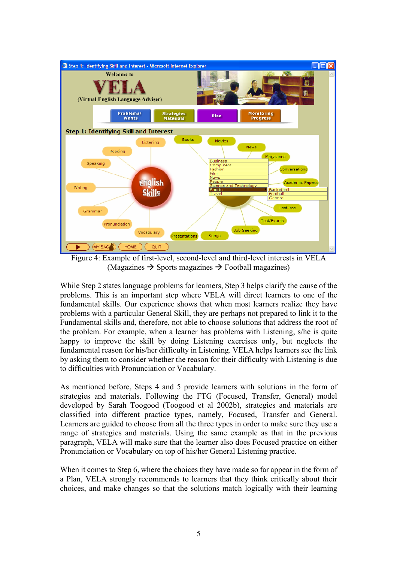

Figure 4: Example of first-level, second-level and third-level interests in VELA  $(Ma\text{e}a\text{zines} \rightarrow \text{Sports} \text{ ma}\text{e}a\text{zines} \rightarrow \text{Food} \text{ha}\text{e}a\text{zines})$ 

While Step 2 states language problems for learners, Step 3 helps clarify the cause of the problems. This is an important step where VELA will direct learners to one of the fundamental skills. Our experience shows that when most learners realize they have problems with a particular General Skill, they are perhaps not prepared to link it to the Fundamental skills and, therefore, not able to choose solutions that address the root of the problem. For example, when a learner has problems with Listening, s/he is quite happy to improve the skill by doing Listening exercises only, but neglects the fundamental reason for his/her difficulty in Listening. VELA helps learners see the link by asking them to consider whether the reason for their difficulty with Listening is due to difficulties with Pronunciation or Vocabulary.

As mentioned before, Steps 4 and 5 provide learners with solutions in the form of strategies and materials. Following the FTG (Focused, Transfer, General) model developed by Sarah Toogood (Toogood et al 2002b), strategies and materials are classified into different practice types, namely, Focused, Transfer and General. Learners are guided to choose from all the three types in order to make sure they use a range of strategies and materials. Using the same example as that in the previous paragraph, VELA will make sure that the learner also does Focused practice on either Pronunciation or Vocabulary on top of his/her General Listening practice.

When it comes to Step 6, where the choices they have made so far appear in the form of a Plan, VELA strongly recommends to learners that they think critically about their choices, and make changes so that the solutions match logically with their learning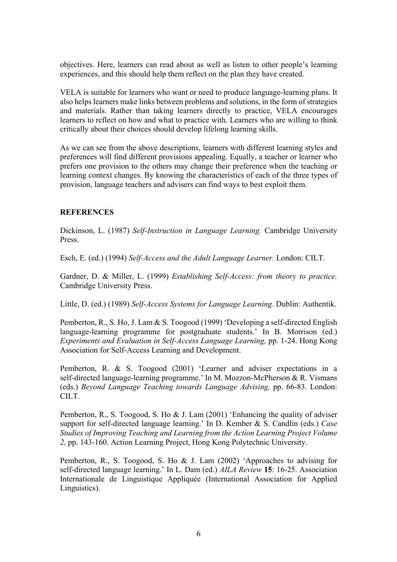objectives. Here, learners can read about as well as listen to other people's learning experiences, and this should help them reflect on the plan they have created.

VELA is suitable for learners who want or need to produce language-learning plans. It also helps learners make links between problems and solutions, in the form of strategies and materials. Rather than taking learners directly to practice, VELA encourages learners to reflect on how and what to practice with. Learners who are willing to think critically about their choices should develop lifelong learning skills.

As we can see from the above descriptions, learners with different learning styles and preferences will find different provisions appealing. Equally, a teacher or learner who prefers one provision to the others may change their preference when the teaching or learning context changes. By knowing the characteristics of each of the three types of provision, language teachers and advisers can find ways to best exploit them.

## **REFERENCES**

Dickinson, L. (1987) *Self-Instruction in Language Learning.* Cambridge University Press.

Esch, E. (ed.) (1994) *Self-Access and the Adult Language Learner.* London: CILT.

Gardner, D. & Miller, L. (1999) *Establishing Self-Access: from theory to practice.* Cambridge University Press.

Little, D. (ed.) (1989) *Self-Access Systems for Language Learning.* Dublin: Authentik.

Pemberton, R., S. Ho, J. Lam & S. Toogood (1999) 'Developing a self-directed English language-learning programme for postgraduate students.' In B. Morrison (ed.) *Experiments and Evaluation in Self-Access Language Learning,* pp. 1-24. Hong Kong Association for Self-Access Learning and Development.

Pemberton, R. & S. Toogood (2001) 'Learner and adviser expectations in a self-directed language-learning programme.' In M. Mozzon-McPherson & R. Vismans (eds.) *Beyond Language Teaching towards Language Advising,* pp. 66-83. London: CILT.

Pemberton, R., S. Toogood, S. Ho & J. Lam (2001) 'Enhancing the quality of adviser support for self-directed language learning.' In D. Kember & S. Candlin (eds.) *Case Studies of Improving Teaching and Learning from the Action Learning Project Volume 2,* pp. 143-160. Action Learning Project, Hong Kong Polytechnic University.

Pemberton, R., S. Toogood, S. Ho & J. Lam (2002) 'Approaches to advising for self-directed language learning.' In L. Dam (ed.) *AILA Review* **15**: 16-25. Association Internationale de Linguistique Appliquée (International Association for Applied Linguistics).